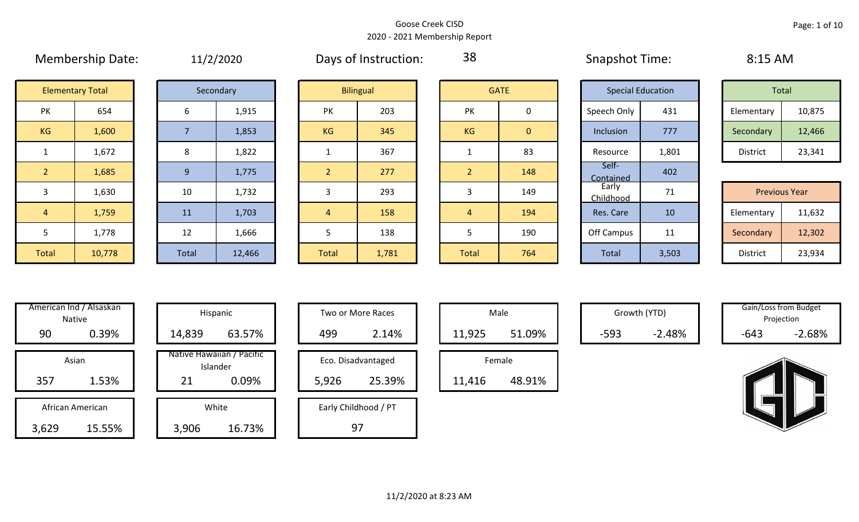|                |                         |                | $+$ $+$ <i>, <math>-</math>, <math>-</math></i> $  -$ |           |                  |                |              |                    |                          |            |                      |  |
|----------------|-------------------------|----------------|-------------------------------------------------------|-----------|------------------|----------------|--------------|--------------------|--------------------------|------------|----------------------|--|
|                | <b>Elementary Total</b> |                | Secondary                                             |           | <b>Bilingual</b> |                | <b>GATE</b>  |                    | <b>Special Education</b> |            | Total                |  |
| PK             | 654                     | 6              | 1,915                                                 | PK        | 203              | <b>PK</b>      | 0            | Speech Only        | 431                      | Elementary | 10,875               |  |
| KG             | 1,600                   |                | 1,853                                                 | <b>KG</b> | 345              | KG             | $\mathbf{0}$ | Inclusion          | 777                      | Secondary  | 12,466               |  |
|                | 1,672                   | 8              | 1,822                                                 |           | 367              |                | 83           | Resource           | 1,801                    | District   | 23,341               |  |
| $\overline{2}$ | 1,685                   | 9 <sup>°</sup> | 1,775                                                 |           | 277              | $\overline{2}$ | 148          | Self-<br>Contained | 402                      |            |                      |  |
| $\overline{3}$ | 1,630                   | 10             | 1,732                                                 |           | 293              | 3              | 149          | Early<br>Childhood | 71                       |            | <b>Previous Year</b> |  |
| $\sqrt{4}$     | 1,759                   | 11             | 1,703                                                 | 4         | 158              | 4              | 194          | Res. Care          | 10                       | Elementary | 11,632               |  |
| 5              | 1,778                   | 12             | 1,666                                                 |           | 138              |                | 190          | Off Campus         | 11                       | Secondary  | 12,302               |  |
| Total          | 10,778                  | Total          | 12,466                                                | Total     | 1,781            | Total          | 764          | Total              | 3,503                    | District   | 23,934               |  |

| 11/2/2020 |
|-----------|
|-----------|

Membership Date:  $11/2/2020$  Days of Instruction:  $38$  Snapshot Time: 8:15 AM

38

|                     | <b>Elementary Total</b> |  | Secondary |           | <b>Bilingual</b> |           | <b>GATE</b> | <b>Special Education</b> |       | Total      |        |
|---------------------|-------------------------|--|-----------|-----------|------------------|-----------|-------------|--------------------------|-------|------------|--------|
| NZ.<br>$\mathbf{N}$ | 654                     |  | 1,915     | PK        | 203              | PK        |             | Speech Only              | 431   | Elementary | 10,875 |
| G                   | 1,600                   |  | 1,853     | <b>KG</b> | 345              | <b>KG</b> | 0           | Inclusion                | 777   | Secondary  | 12,466 |
|                     | 1,672                   |  | 1,822     |           | 367              |           | 83          | Resource                 | 1,801 | District   | 23,341 |

|             |        |       |        |       |       |              |     | -----------        |                                 |                      |        |
|-------------|--------|-------|--------|-------|-------|--------------|-----|--------------------|---------------------------------|----------------------|--------|
|             | 1,630  | 10    | 1,732  |       | 293   |              | 149 | Early<br>Childhood | $\overline{\phantom{a}}$<br>, , | <b>Previous Year</b> |        |
|             | 1,759  | 11    | 1,703  |       | 158   |              | 194 | Res. Care          | 10                              | Elementary           | 11,632 |
|             | 1,778  | 12    | 1,666  |       | 138   |              | 190 | Off Campus         | 11<br>ᆠᆂ                        | Secondary            | 12,302 |
| <b>otal</b> | 10,778 | Total | 12,466 | Total | 1,781 | <b>Total</b> | 764 | Total              | 3,503                           | District             | 23,934 |

|     | American Ind / Alsaskan<br><b>Native</b> | Hispani                    |
|-----|------------------------------------------|----------------------------|
| 90  | 0.39%                                    | 14,839                     |
|     |                                          |                            |
|     | Asian                                    | Native Hawaiiai<br>Islande |
| 357 | 1.53%                                    | 21                         |
|     | African American                         | White                      |

| \merican Ind / Alsaskan<br>Native | Hispanic                                             | Two or More Races                     | Male                       |        | Growth (YTD) | Projection | Gain/Loss from Budget |
|-----------------------------------|------------------------------------------------------|---------------------------------------|----------------------------|--------|--------------|------------|-----------------------|
| 0.39%<br>90                       | 63.57%<br>14,839                                     | 499<br>2.14%                          | 51.09%<br>11,925           | $-593$ | $-2.48%$     | $-643$     | $-2.68%$              |
| Asian<br>1.53%<br>357             | Native Hawaiian / Pacific<br>Islander<br>0.09%<br>21 | Eco. Disadvantaged<br>25.39%<br>5,926 | Female<br>48.91%<br>11,416 |        |              |            |                       |
| African American                  | White                                                | Early Childhood / PT                  |                            |        |              |            |                       |
| 15.55%<br>3,629                   | 16.73%<br>3,906                                      | 97                                    |                            |        |              |            |                       |

| Hispanic                                | Two or More Races                     | Male                  |
|-----------------------------------------|---------------------------------------|-----------------------|
| 63.57%                                  | 499<br>2.14%                          | 11,925                |
| lawaiian / Pacific<br>Islander<br>0.09% | Eco. Disadvantaged<br>25.39%<br>5,926 | Female<br>11,416<br>ı |
|                                         |                                       |                       |
| White<br>16.73%                         | Early Childhood / PT                  |                       |

|        | Male   |  |
|--------|--------|--|
| 11,925 | 51.09% |  |
|        | Female |  |
| 11,416 | 48.91% |  |

Growth (YTD) Gain/Loss from Budget Projection

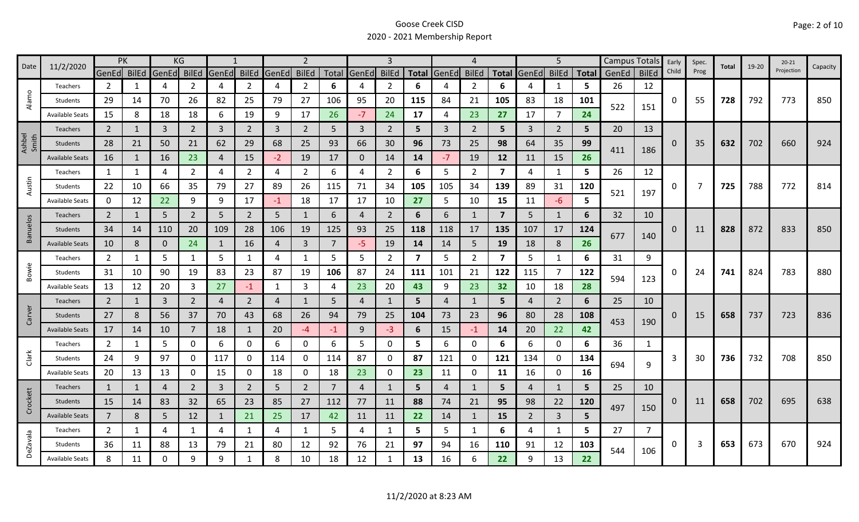|                 | 11/2/2020              | <b>PK</b>      |    |              | KG             |                |                |       | $\overline{2}$ |      |              | 3              |     |                | 4              |                         |                | 5              |                |       | Campus Totals  | Early    | Spec. | Total | $19 - 20$ | $20 - 21$  |          |
|-----------------|------------------------|----------------|----|--------------|----------------|----------------|----------------|-------|----------------|------|--------------|----------------|-----|----------------|----------------|-------------------------|----------------|----------------|----------------|-------|----------------|----------|-------|-------|-----------|------------|----------|
| Date            |                        | GenEd BilEd    |    | GenEd BilEd  |                | GenEd          | <b>BilEd</b>   | GenEd | <b>BilEd</b>   |      | Total GenEd  | <b>BilEd</b>   |     | Total GenEd    | <b>BilEd</b>   | <b>Total</b>            | GenEd BilEd    |                | <b>Total</b>   | GenEd | <b>BilEd</b>   | Child    | Prog  |       |           | Projection | Capacity |
|                 | Teachers               | $\overline{2}$ | 1  | 4            | 2              | 4              | $\overline{2}$ | 4     | $\overline{2}$ | 6    | 4            | 2              | 6   |                | $\overline{2}$ | 6                       |                | 1              | 5              | 26    | 12             |          |       |       |           |            |          |
| Alamo           | Students               | 29             | 14 | 70           | 26             | 82             | 25             | 79    | 27             | 106  | 95           | 20             | 115 | 84             | 21             | 105                     | 83             | 18             | 101            | 522   | 151            | 0        | 55    | 728   | 792       | 773        | 850      |
|                 | <b>Available Seats</b> | 15             | 8  | 18           | 18             | 6              | 19             | 9     | 17             | 26   | $-7$         | 24             | 17  | 4              | 23             | 27                      | 17             | $\overline{7}$ | 24             |       |                |          |       |       |           |            |          |
|                 | <b>Teachers</b>        | $\overline{2}$ |    | $\mathbf{3}$ | $\overline{2}$ | $\overline{3}$ | $\overline{2}$ | 3     | $\overline{2}$ | 5    | 3            | $\overline{2}$ | 5   | $\overline{3}$ | $\overline{2}$ | 5                       | $\overline{3}$ | $\overline{2}$ | 5              | 20    | 13             |          |       |       |           |            |          |
| Ashbel<br>Smith | Students               | 28             | 21 | 50           | 21             | 62             | 29             | 68    | 25             | 93   | 66           | 30             | 96  | 73             | 25             | 98                      | 64             | 35             | 99             | 411   |                | $\Omega$ | 35    | 632   | 702       | 660        | 924      |
|                 | <b>Available Seats</b> | 16             | 1  | 16           | 23             | $\overline{4}$ | 15             | $-2$  | 19             | 17   | $\mathbf{0}$ | 14             | 14  | $-7$           | 19             | 12                      | 11             | 15             | 26             |       | 186            |          |       |       |           |            |          |
|                 | Teachers               | 1              | 1  | 4            | 2              | 4              | $\overline{2}$ | 4     | $\overline{2}$ | 6    | 4            | $\overline{2}$ | 6   | 5              | $\overline{2}$ | $\overline{\mathbf{z}}$ | 4              | 1              | 5              | 26    | 12             |          |       |       |           |            |          |
| Austin          | Students               | 22             | 10 | 66           | 35             | 79             | 27             | 89    | 26             | 115  | 71           | 34             | 105 | 105            | 34             | 139                     | 89             | 31             | 120            | 521   | 197            | 0        | 7     | 725   | 788       | 772        | 814      |
|                 | <b>Available Seats</b> | 0              | 12 | 22           | 9              | 9              | 17             | $-1$  | 18             | 17   | 17           | 10             | 27  | 5              | 10             | 15                      | 11             | $-6$           | 5              |       |                |          |       |       |           |            |          |
|                 | <b>Teachers</b>        | $\overline{2}$ | 1  | 5            | $\overline{2}$ | 5              | $\overline{2}$ | 5     | 1              | 6    | 4            | $\overline{2}$ | 6   | 6              | 1              | $\overline{7}$          | 5              | 1              | 6              | 32    | 10             |          |       |       |           |            |          |
| Banuelos        | Students               | 34             | 14 | 110          | 20             | 109            | 28             | 106   | 19             | 125  | 93           | 25             | 118 | 118            | 17             | 135                     | 107            | 17             | 124            |       |                | 0        | 11    | 828   | 872       | 833        | 850      |
|                 | <b>Available Seats</b> | 10             | 8  | $\mathbf 0$  | 24             | -1             | 16             | 4     | $\mathbf{3}$   |      | $-5$         | 19             | 14  | 14             | 5              | 19                      | 18             | 8              | 26             | 677   | 140            |          |       |       |           |            |          |
|                 | Teachers               | $\overline{2}$ | 1  | 5            |                | 5              | $\mathbf{1}$   | 4     | $\mathbf{1}$   | 5    | 5            | $\overline{2}$ | 7   | 5              | $\overline{2}$ | $\overline{\mathbf{z}}$ | 5              | $\mathbf{1}$   | 6              | 31    | 9              |          |       |       |           |            |          |
| Bowie           | Students               | 31             | 10 | 90           | 19             | 83             | 23             | 87    | 19             | 106  | 87           | 24             | 111 | 101            | 21             | 122                     | 115            | $\overline{7}$ | 122            | 594   |                | 0        | 24    | 741   | 824       | 783        | 880      |
|                 | <b>Available Seats</b> | 13             | 12 | 20           | 3              | 27             | $-1$           | 1     | 3              | 4    | 23           | 20             | 43  | 9              | 23             | 32                      | 10             | 18             | 28             |       | 123            |          |       |       |           |            |          |
|                 | Teachers               | $\overline{2}$ | 1  | 3            | $\overline{2}$ | $\overline{4}$ | $\overline{2}$ | 4     | 1              | 5    | 4            |                | 5   | 4              | 1              | 5                       | 4              | $\overline{2}$ | 6              | 25    | 10             |          |       |       |           |            |          |
| Carver          | Students               | 27             | 8  | 56           | 37             | 70             | 43             | 68    | 26             | 94   | 79           | 25             | 104 | 73             | 23             | 96                      | 80             | 28             | 108            | 453   | 190            | 0        | 15    | 658   | 737       | 723        | 836      |
|                 | <b>Available Seats</b> | 17             | 14 | 10           | $\overline{7}$ | 18             | $\mathbf{1}$   | 20    | $-4$           | $-1$ | 9            | $-3$           | 6   | 15             | $-1$           | 14                      | 20             | 22             | 42             |       |                |          |       |       |           |            |          |
|                 | Teachers               | $\overline{2}$ | 1  | 5            | $\mathbf 0$    | 6              | 0              | 6     | 0              | 6    | 5.           | 0              | 5   | 6              | 0              | 6                       | 6              | $\mathbf 0$    | 6              | 36    | 1              |          |       |       |           |            |          |
| Clark           | Students               | 24             | 9  | 97           | 0              | 117            | $\mathbf{0}$   | 114   | 0              | 114  | 87           | 0              | 87  | 121            | 0              | 121                     | 134            | 0              | 134            | 694   | 9              | 3        | 30    | 736   | 732       | 708        | 850      |
|                 | <b>Available Seats</b> | 20             | 13 | 13           | 0              | 15             | 0              | 18    | $\mathbf 0$    | 18   | 23           | 0              | 23  | 11             | 0              | 11                      | 16             | $\mathbf 0$    | 16             |       |                |          |       |       |           |            |          |
|                 | Teachers               | $\mathbf{1}$   | 1  | 4            | $\overline{2}$ | 3              | $\overline{2}$ | 5     | $\overline{2}$ | 7    | 4            |                | 5   | 4              | $\mathbf{1}$   | 5                       | 4              | 1              | 5              | 25    | 10             |          |       |       |           |            |          |
| Crockett        | Students               | 15             | 14 | 83           | 32             | 65             | 23             | 85    | 27             | 112  | 77           | 11             | 88  | 74             | 21             | 95                      | 98             | 22             | 120            | 497   | 150            | 0        | 11    | 658   | 702       | 695        | 638      |
|                 | <b>Available Seats</b> | $\overline{7}$ | 8  | 5            | 12             | $\mathbf{1}$   | 21             | 25    | 17             | 42   | 11           | 11             | 22  | 14             | -1             | 15                      | 2              | $\overline{3}$ | 5 <sup>5</sup> |       |                |          |       |       |           |            |          |
|                 | Teachers               | $\overline{2}$ | 1  | 4            | 1              | 4              | $\mathbf{1}$   | 4     | $\mathbf{1}$   | 5    | 4            | 1              | 5   | 5              | -1             | 6                       | 4              | $\mathbf{1}$   | 5.             | 27    | $\overline{7}$ |          |       |       |           |            |          |
| DeZavala        | Students               | 36             | 11 | 88           | 13             | 79             | 21             | 80    | 12             | 92   | 76           | 21             | 97  | 94             | 16             | 110                     | 91             | 12             | 103            | 544   | 106            | 0        | 3     | 653   | 673       | 670        | 924      |
|                 | <b>Available Seats</b> | 8              | 11 | 0            | 9              | 9              | 1              | 8     | 10             | 18   | 12           |                | 13  | 16             | 6              | 22                      | q              | 13             | 22             |       |                |          |       |       |           |            |          |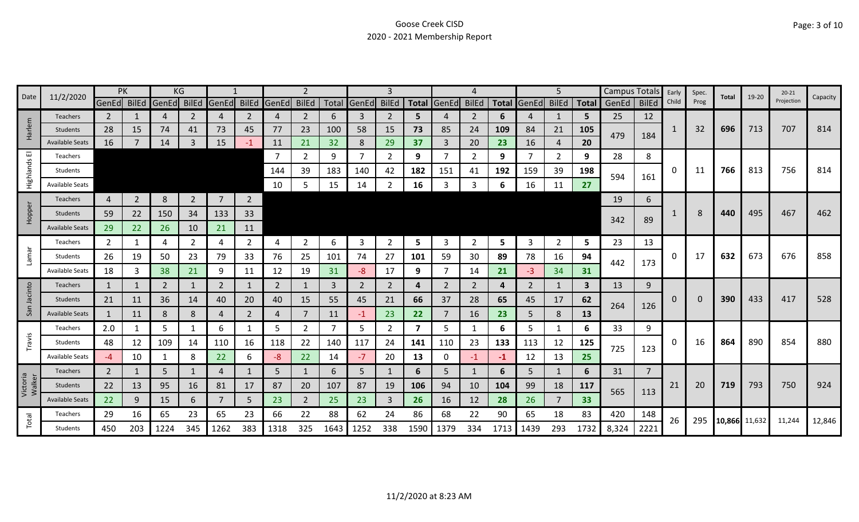|                    | 11/2/2020              | PK             |                |                | ΚG             |                |                |             |                |      |                |                |                         |       |              |      |                   | 5              |      | Campus Totals |                | Early | Spec. | Total         | 19-20 | $20 - 21$  | Capacity |
|--------------------|------------------------|----------------|----------------|----------------|----------------|----------------|----------------|-------------|----------------|------|----------------|----------------|-------------------------|-------|--------------|------|-------------------|----------------|------|---------------|----------------|-------|-------|---------------|-------|------------|----------|
| Date               |                        | GenEd BilEd    |                | GenEd          | BilEd          | GenEd          | <b>BilEd</b>   | GenEd BilEd |                |      | Total GenEd    | <b>BilEd</b>   | <b>Total</b>            | GenEd | <b>BilEd</b> |      | Total GenEd BilEd |                |      | Total GenEd   | <b>BilEd</b>   | Child | Prog  |               |       | Projection |          |
|                    | Teachers               | 2              |                | 4              | 2              | 4              | 2              | 4           | $\overline{2}$ | 6    | 3              | 2              | 5                       |       | 2            | 6    | 4                 | 1              | 5    | 25            | 12             |       |       |               |       |            |          |
| Harlem             | Students               | 28             | 15             | 74             | 41             | 73             | 45             | 77          | 23             | 100  | 58             | 15             | 73                      | 85    | 24           | 109  | 84                | 21             | 105  | 479           | 184            | 1     | 32    | 696           | 713   | 707        | 814      |
|                    | <b>Available Seats</b> | 16             |                | 14             | 3              | 15             | $-1$           | <b>11</b>   | 21             | 32   | 8              | 29             | 37                      | 3     | 20           | 23   | 16                | 4              | 20   |               |                |       |       |               |       |            |          |
| 画                  | Teachers               |                |                |                |                |                |                |             | $\overline{2}$ | 9    | $\overline{7}$ | $\overline{2}$ | 9                       |       | 2            | 9    | 7                 | $\overline{2}$ | 9    | 28            | 8              |       |       |               |       |            |          |
| Highlands          | Students               |                |                |                |                |                |                | 144         | 39             | 183  | 140            | 42             | 182                     | 151   | 41           | 192  | 159               | 39             | 198  | 594           | 161            | 0     | 11    | 766           | 813   | 756        | 814      |
|                    | <b>Available Seats</b> |                |                |                |                |                |                | 10          | 5              | 15   | 14             | 2              | 16                      | 3     | 3            | 6.   | 16                | 11             | 27   |               |                |       |       |               |       |            |          |
|                    | Teachers               | 4              | $\overline{2}$ | 8              | $\overline{2}$ | $\overline{7}$ | $\overline{2}$ |             |                |      |                |                |                         |       |              |      |                   |                |      | 19            | 6              |       |       |               |       |            |          |
| Hopper             | <b>Students</b>        | 59             | 22             | 150            | 34             | 133            | 33             |             |                |      |                |                |                         |       |              |      |                   |                |      |               |                |       | 8     | 440           | 495   | 467        | 462      |
|                    | <b>Available Seats</b> | 29             | 22             | 26             | 10             | 21             | 11             |             |                |      |                |                |                         |       |              |      |                   |                |      | 342           | 89             |       |       |               |       |            |          |
|                    | Teachers               | $\overline{2}$ | 1              | 4              | 2              | 4              | $\overline{2}$ | 4           | $\overline{2}$ | 6    | 3              | 2              | 5                       | 3     | 2            | 5    | 3                 | $\overline{2}$ | 5    | 23            | 13             |       |       |               |       |            |          |
| Lamar              | Students               | 26             | 19             | 50             | 23             | 79             | 33             | 76          | 25             | 101  | 74             | 27             | 101                     | 59    | 30           | 89   | 78                | 16             | 94   |               |                | 0     | 17    | 632           | 673   | 676        | 858      |
|                    | <b>Available Seats</b> | 18             | 3              | 38             | 21             | 9              | 11             | 12          | 19             | 31   | -8             | 17             | 9                       |       | 14           | 21   | -3                | 34             | 31   | 442           | 173            |       |       |               |       |            |          |
|                    | Teachers               | 1              | 1              | $\overline{2}$ | 1              | 2              | 1              | 2           | $\mathbf{1}$   | 3    | 2              | 2              | 4                       | 2     | 2            | 4    | 2                 | 1              | 3    | 13            | 9              |       |       |               |       |            |          |
| Jacinto            | Students               | 21             | 11             | 36             | 14             | 40             | 20             | 40          | 15             | 55   | 45             | 21             | 66                      | 37    | 28           | 65   | 45                | 17             | 62   |               |                | 0     | 0     | 390           | 433   | 417        | 528      |
| San                | <b>Available Seats</b> | 1              | 11             | 8              | 8              | 4              | $\overline{2}$ | 4           | $\overline{7}$ | 11   | $-1$           | 23             | 22                      |       | 16           | 23   | 5                 | 8              | 13   | 264           | 126            |       |       |               |       |            |          |
|                    | Teachers               | 2.0            | 1              | 5              |                | 6              | 1              | 5           | $\overline{2}$ |      | 5              | 2              | $\overline{\mathbf{z}}$ | 5     |              | 6    | 5                 | 1              | 6    | 33            | 9              |       |       |               |       |            |          |
| Travis             | Students               | 48             | 12             | 109            | 14             | 110            | 16             | 118         | 22             | 140  | 117            | 24             | 141                     | 110   | 23           | 133  | 113               | 12             | 125  |               |                | 0     | 16    | 864           | 890   | 854        | 880      |
|                    | <b>Available Seats</b> | -4             | 10             |                | 8              | 22             | 6              | $-8$        | 22             | 14   | $-7$           | 20             | 13                      | 0     | $-1$         | -1   | 12                | 13             | 25   | 725           | 123            |       |       |               |       |            |          |
|                    | <b>Teachers</b>        | $\overline{2}$ | 1              | 5              |                | 4              | 1              | 5           | $\mathbf{1}$   | 6    | 5 <sup>1</sup> |                | 6                       | 5     | $\mathbf{1}$ | 6    | 5                 | $\mathbf{1}$   | 6    | 31            | $\overline{7}$ |       |       |               |       |            |          |
| Victoria<br>Walker | Students               | 22             | 13             | 95             | 16             | 81             | 17             | 87          | 20             | 107  | 87             | 19             | 106                     | 94    | 10           | 104  | 99                | 18             | 117  |               |                | 21    | 20    | 719           | 793   | 750        | 924      |
|                    | <b>Available Seats</b> | 22             | 9              | 15             | 6.             | $\overline{7}$ | 5              | 23          | $\overline{2}$ | 25   | 23             | 3              | 26                      | 16    | 12           | 28   | 26                | $\overline{7}$ | 33   | 565           | 113            |       |       |               |       |            |          |
|                    | Teachers               | 29             | 16             | 65             | 23             | 65             | 23             | 66          | 22             | 88   | 62             | 24             | 86                      | 68    | 22           | 90   | 65                | 18             | 83   | 420           | 148            |       |       |               |       |            |          |
| Total              | Students               | 450            | 203            | 1224           | 345            | 1262           | 383            | 1318        | 325            | 1643 | 1252           | 338            | 1590                    | 1379  | 334          | 1713 | 1439              | 293            | 1732 | 8,324         | 2221           | 26    | 295   | 10,866 11,632 |       | 11,244     | 12,846   |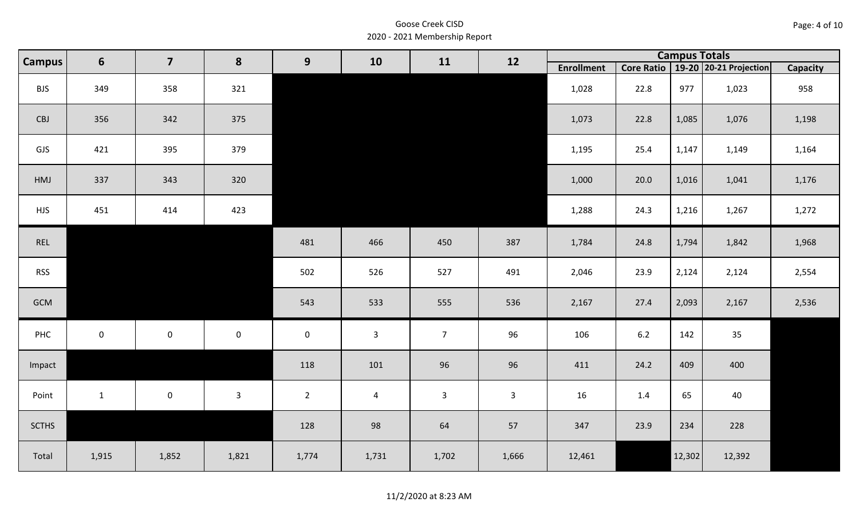| Page: 4 of 10 |  |  |
|---------------|--|--|
|---------------|--|--|

| <b>Campus</b> | $6\phantom{1}$ | $\overline{\mathbf{z}}$ | 8            | 9           | 10             | 11             | 12           |                   |       | <b>Campus Totals</b> |                                       |                 |
|---------------|----------------|-------------------------|--------------|-------------|----------------|----------------|--------------|-------------------|-------|----------------------|---------------------------------------|-----------------|
|               |                |                         |              |             |                |                |              | <b>Enrollment</b> |       |                      | Core Ratio   19-20   20-21 Projection | <b>Capacity</b> |
| <b>BJS</b>    | 349            | 358                     | 321          |             |                |                |              | 1,028             | 22.8  | 977                  | 1,023                                 | 958             |
| CBJ           | 356            | 342                     | 375          |             |                |                |              | 1,073             | 22.8  | 1,085                | 1,076                                 | 1,198           |
| GJS           | 421            | 395                     | 379          |             |                |                |              | 1,195             | 25.4  | 1,147                | 1,149                                 | 1,164           |
| HMJ           | 337            | 343                     | 320          |             |                |                |              | 1,000             | 20.0  | 1,016                | 1,041                                 | 1,176           |
| <b>HJS</b>    | 451            | 414                     | 423          |             |                |                |              | 1,288             | 24.3  | 1,216                | 1,267                                 | 1,272           |
| REL           |                |                         |              | 481         | 466            | 450            | 387          | 1,784             | 24.8  | 1,794                | 1,842                                 | 1,968           |
| <b>RSS</b>    |                |                         |              | 502         | 526            | 527            | 491          | 2,046             | 23.9  | 2,124                | 2,124                                 | 2,554           |
| GCM           |                |                         |              | 543         | 533            | 555            | 536          | 2,167             | 27.4  | 2,093                | 2,167                                 | 2,536           |
| PHC           | $\mathbf{0}$   | $\mathsf{O}\xspace$     | $\mathbf 0$  | $\mathbf 0$ | $\mathbf{3}$   | $\overline{7}$ | 96           | 106               | $6.2$ | 142                  | 35                                    |                 |
| Impact        |                |                         |              | 118         | 101            | 96             | 96           | 411               | 24.2  | 409                  | 400                                   |                 |
| Point         | $\mathbf{1}$   | $\mathsf 0$             | $\mathbf{3}$ | $2^{\circ}$ | $\overline{4}$ | $\mathbf{3}$   | $\mathbf{3}$ | 16                | 1.4   | 65                   | 40                                    |                 |
| <b>SCTHS</b>  |                |                         |              | 128         | 98             | 64             | 57           | 347               | 23.9  | 234                  | 228                                   |                 |
| Total         | 1,915          | 1,852                   | 1,821        | 1,774       | 1,731          | 1,702          | 1,666        | 12,461            |       | 12,302               | 12,392                                |                 |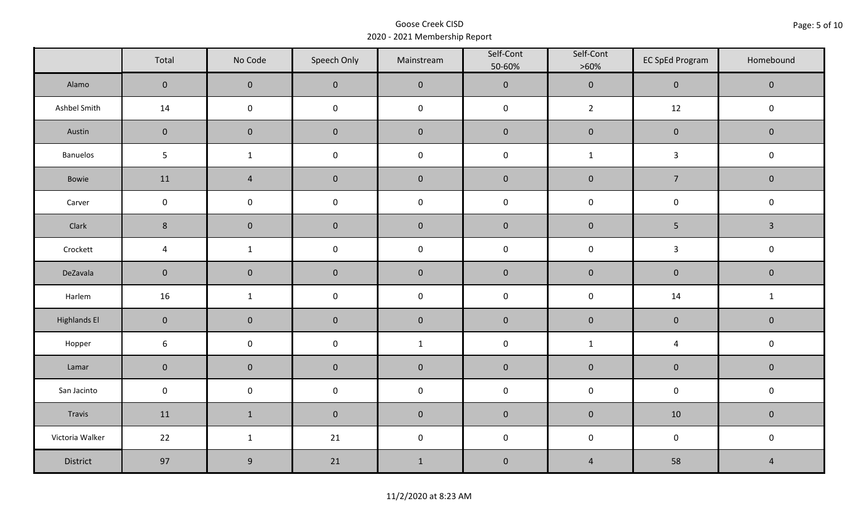|                     | Total           | No Code        | Speech Only         | Mainstream   | Self-Cont<br>50-60% | Self-Cont<br>$>60\%$ | <b>EC SpEd Program</b> | Homebound      |  |
|---------------------|-----------------|----------------|---------------------|--------------|---------------------|----------------------|------------------------|----------------|--|
| Alamo               | $\mathbf 0$     | $\mathbf 0$    | $\mathbf 0$         | $\pmb{0}$    | $\pmb{0}$           | $\pmb{0}$            | $\pmb{0}$              | $\mathbf 0$    |  |
| Ashbel Smith        | 14              | $\mathbf 0$    | $\mathbf 0$         | $\pmb{0}$    | $\pmb{0}$           | $\overline{2}$       | $12\,$                 | $\mathbf 0$    |  |
| Austin              | $\mathbf 0$     | $\mathbf 0$    | $\mathbf{0}$        | $\pmb{0}$    | $\pmb{0}$           | $\pmb{0}$            | $\pmb{0}$              | $\mathbf 0$    |  |
| <b>Banuelos</b>     | $5\phantom{.0}$ | $\mathbf{1}$   | $\mathsf 0$         | $\pmb{0}$    | $\mathsf 0$         | $\mathbf{1}$         | $\mathbf{3}$           | $\mathbf 0$    |  |
| Bowie               | 11              | $\overline{4}$ | $\mathbf 0$         | $\pmb{0}$    | $\pmb{0}$           | $\pmb{0}$            | $\overline{7}$         | $\mathbf 0$    |  |
| Carver              | $\mathbf 0$     | $\mathbf 0$    | $\mathsf{O}\xspace$ | $\pmb{0}$    | $\pmb{0}$           | $\mathbf 0$          | $\mathbf 0$            | $\mathbf 0$    |  |
| Clark               | $\,$ 8 $\,$     | $\overline{0}$ | $\pmb{0}$           | $\pmb{0}$    | $\pmb{0}$           | $\pmb{0}$            | 5                      | $\mathbf{3}$   |  |
| Crockett            | $\overline{a}$  | $\mathbf{1}$   | $\mathsf{O}\xspace$ | $\pmb{0}$    | $\pmb{0}$           | $\pmb{0}$            | $\mathbf{3}$           | $\mathbf 0$    |  |
| DeZavala            | $\mathbf 0$     | $\mathbf 0$    | $\mathbf 0$         | $\pmb{0}$    | $\pmb{0}$           | $\pmb{0}$            | $\pmb{0}$              | $\mathbf 0$    |  |
| Harlem              | 16              | $\mathbf{1}$   | $\pmb{0}$           | $\pmb{0}$    | $\pmb{0}$           | $\pmb{0}$            | 14                     | $\mathbf{1}$   |  |
| <b>Highlands El</b> | $\mathbf 0$     | $\mathbf 0$    | $\mathbf 0$         | $\pmb{0}$    | $\pmb{0}$           | $\pmb{0}$            | $\pmb{0}$              | $\mathbf 0$    |  |
| Hopper              | $\sqrt{6}$      | $\mathbf 0$    | $\mathsf{O}\xspace$ | $\mathbf{1}$ | $\pmb{0}$           | $\mathbf{1}$         | $\pmb{4}$              | $\mathbf 0$    |  |
| Lamar               | $\mathbf 0$     | $\mathbf 0$    | $\mathbf 0$         | $\pmb{0}$    | $\pmb{0}$           | $\pmb{0}$            | $\pmb{0}$              | $\mathbf 0$    |  |
| San Jacinto         | $\mathbf 0$     | $\mathbf 0$    | $\mathbf 0$         | $\pmb{0}$    | $\pmb{0}$           | $\mathbf 0$          | $\mathbf 0$            | $\mathbf 0$    |  |
| Travis              | 11              | $\mathbf{1}$   | $\mathbf 0$         | $\pmb{0}$    | $\pmb{0}$           | $\pmb{0}$            | 10                     | $\mathbf 0$    |  |
| Victoria Walker     | 22              | $\mathbf{1}$   | 21                  | $\pmb{0}$    | $\pmb{0}$           | $\pmb{0}$            | $\mathbf 0$            | $\mathbf 0$    |  |
| District            | 97              | $9\,$          | 21                  | $\mathbf 1$  | $\pmb{0}$           | $\overline{4}$       | 58                     | $\overline{4}$ |  |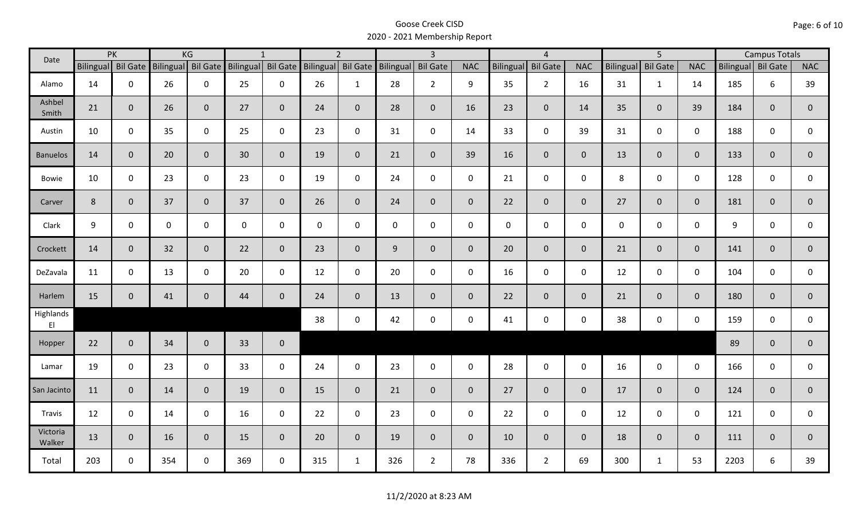| Date               |                    | PK           |              | KG             |                                       | $\mathbf{1}$   |                    | $\overline{2}$ |             | $\overline{3}$  |                |                  | $\overline{4}$  |                |                  | $\overline{5}$  |                |                    | <b>Campus Totals</b> |                |
|--------------------|--------------------|--------------|--------------|----------------|---------------------------------------|----------------|--------------------|----------------|-------------|-----------------|----------------|------------------|-----------------|----------------|------------------|-----------------|----------------|--------------------|----------------------|----------------|
|                    | Bilingual Bil Gate |              |              |                | Bilingual Bil Gate Bilingual Bil Gate |                | Bilingual Bil Gate |                | Bilingual   | <b>Bil Gate</b> | <b>NAC</b>     | <b>Bilingual</b> | <b>Bil Gate</b> | <b>NAC</b>     | <b>Bilingual</b> | <b>Bil Gate</b> | <b>NAC</b>     | Bilingual Bil Gate |                      | <b>NAC</b>     |
| Alamo              | 14                 | $\mathbf 0$  | 26           | $\mathbf 0$    | 25                                    | 0              | 26                 | $\mathbf{1}$   | 28          | $2^{\circ}$     | 9              | 35               | $2^{\circ}$     | 16             | 31               | $\mathbf{1}$    | 14             | 185                | 6                    | 39             |
| Ashbel<br>Smith    | 21                 | $\mathbf{0}$ | 26           | $\mathbf{0}$   | 27                                    | $\overline{0}$ | 24                 | $\overline{0}$ | 28          | $\mathbf 0$     | 16             | 23               | $\overline{0}$  | 14             | 35               | $\mathbf{0}$    | 39             | 184                | $\mathbf{0}$         | $\overline{0}$ |
| Austin             | 10                 | $\mathbf 0$  | 35           | $\mathbf 0$    | 25                                    | $\mathbf 0$    | 23                 | $\mathbf{0}$   | 31          | $\mathbf 0$     | 14             | 33               | $\mathbf 0$     | 39             | 31               | $\mathbf 0$     | $\mathbf 0$    | 188                | $\mathbf 0$          | $\mathbf 0$    |
| <b>Banuelos</b>    | 14                 | $\mathbf{0}$ | 20           | $\mathbf{0}$   | 30                                    | $\overline{0}$ | 19                 | $\overline{0}$ | 21          | $\mathbf 0$     | 39             | 16               | $\overline{0}$  | $\mathbf{0}$   | 13               | $\overline{0}$  | $\overline{0}$ | 133                | $\mathbf{0}$         | $\overline{0}$ |
| <b>Bowie</b>       | 10                 | $\mathbf 0$  | 23           | $\mathsf 0$    | 23                                    | $\mathbf 0$    | 19                 | $\mathbf 0$    | 24          | $\mathbf 0$     | $\mathbf 0$    | 21               | $\mathbf 0$     | $\mathbf 0$    | 8                | $\mathbf 0$     | $\mathbf 0$    | 128                | $\mathbf 0$          | 0              |
| Carver             | 8                  | $\mathbf{0}$ | 37           | $\overline{0}$ | 37                                    | $\overline{0}$ | 26                 | $\mathbf{0}$   | 24          | $\overline{0}$  | $\mathbf{0}$   | 22               | $\overline{0}$  | $\overline{0}$ | 27               | $\overline{0}$  | $\overline{0}$ | 181                | $\mathbf 0$          | $\overline{0}$ |
| Clark              | 9                  | $\mathbf 0$  | $\mathsf{O}$ | $\mathbf 0$    | $\mathsf{O}$                          | 0              | $\mathbf{0}$       | $\mathbf 0$    | $\mathbf 0$ | $\mathbf 0$     | $\mathbf 0$    | $\mathbf{0}$     | $\mathbf 0$     | $\mathbf 0$    | $\mathbf 0$      | $\mathbf 0$     | $\mathbf 0$    | 9                  | $\mathbf 0$          | $\mathsf{O}$   |
| Crockett           | 14                 | $\mathbf{0}$ | 32           | $\overline{0}$ | 22                                    | $\mathbf{0}$   | 23                 | $\overline{0}$ | 9           | $\mathbf 0$     | $\mathbf{0}$   | 20               | $\overline{0}$  | $\overline{0}$ | 21               | $\mathbf{0}$    | $\overline{0}$ | 141                | $\mathbf{0}$         | $\mathbf{0}$   |
| DeZavala           | 11                 | $\mathbf 0$  | 13           | $\mathsf 0$    | 20                                    | $\mathbf 0$    | 12                 | $\mathbf{0}$   | 20          | $\mathbf 0$     | $\mathbf 0$    | 16               | $\mathbf 0$     | $\mathbf 0$    | 12               | $\mathbf 0$     | $\mathbf 0$    | 104                | $\mathbf 0$          | 0              |
| Harlem             | 15                 | $\mathbf 0$  | 41           | $\overline{0}$ | 44                                    | $\mathbf{0}$   | 24                 | $\overline{0}$ | 13          | $\mathbf 0$     | $\mathbf{0}$   | 22               | $\overline{0}$  | $\mathbf{0}$   | 21               | $\mathbf{0}$    | $\overline{0}$ | 180                | $\mathbf{0}$         | $\overline{0}$ |
| Highlands<br>EI    |                    |              |              |                |                                       |                | 38                 | $\mathbf 0$    | 42          | $\mathsf 0$     | $\mathsf 0$    | 41               | $\mathbf 0$     | $\mathbf 0$    | 38               | $\mathbf 0$     | $\mathbf 0$    | 159                | 0                    | $\mathbf{0}$   |
| Hopper             | 22                 | $\mathbf{0}$ | 34           | $\overline{0}$ | 33                                    | $\mathbf 0$    |                    |                |             |                 |                |                  |                 |                |                  |                 |                | 89                 | $\mathbf{0}$         | $\overline{0}$ |
| Lamar              | 19                 | $\mathbf 0$  | 23           | $\mathbf 0$    | 33                                    | $\mathbf 0$    | 24                 | $\mathbf 0$    | 23          | $\mathsf{O}$    | $\mathbf 0$    | 28               | $\mathbf 0$     | $\mathbf 0$    | 16               | $\mathbf 0$     | $\mathbf 0$    | 166                | $\mathbf 0$          | 0              |
| San Jacinto        | 11                 | $\mathbf{0}$ | 14           | $\overline{0}$ | 19                                    | $\mathbf 0$    | 15                 | $\overline{0}$ | 21          | $\mathbf{0}$    | $\overline{0}$ | 27               | $\overline{0}$  | $\overline{0}$ | 17               | $\mathbf{0}$    | $\overline{0}$ | 124                | $\mathbf 0$          | $\mathbf{0}$   |
| Travis             | 12                 | $\mathbf 0$  | 14           | $\mathbf 0$    | 16                                    | $\mathbf 0$    | 22                 | $\mathbf{0}$   | 23          | $\mathbf 0$     | $\mathbf 0$    | 22               | $\mathbf 0$     | $\mathbf 0$    | 12               | $\mathbf 0$     | $\mathbf 0$    | 121                | $\mathbf 0$          | $\mathsf{O}$   |
| Victoria<br>Walker | 13                 | $\mathbf{0}$ | 16           | $\overline{0}$ | 15                                    | $\overline{0}$ | 20                 | $\overline{0}$ | 19          | $\overline{0}$  | $\mathbf{0}$   | 10               | $\overline{0}$  | $\overline{0}$ | 18               | $\overline{0}$  | $\overline{0}$ | 111                | $\mathbf{0}$         | $\mathbf{0}$   |
| Total              | 203                | $\mathbf 0$  | 354          | $\mathbf 0$    | 369                                   | $\mathbf 0$    | 315                | $\mathbf{1}$   | 326         | $2^{\circ}$     | 78             | 336              | $2^{\circ}$     | 69             | 300              | $\mathbf{1}$    | 53             | 2203               | 6                    | 39             |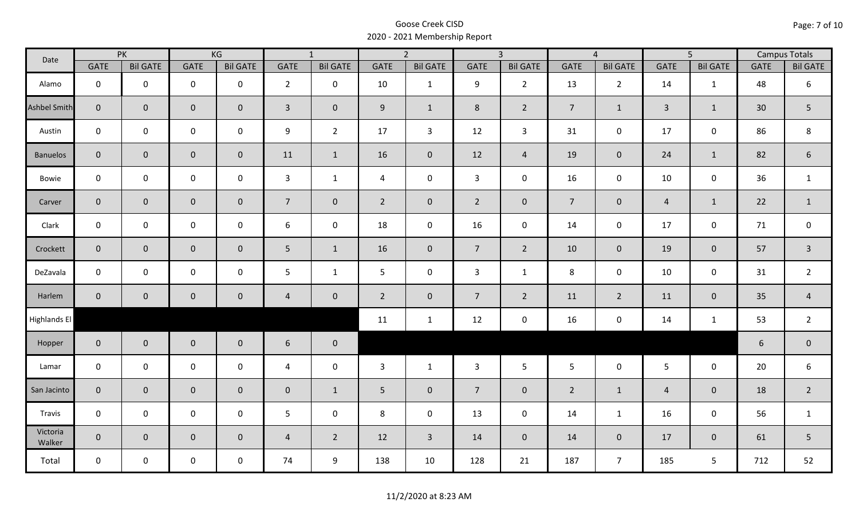| Date                |                | PK              |                     | KG              | $\overline{1}$   |                 |                | $\overline{2}$  |                 | $\overline{3}$  |                | $\overline{4}$  |                | $\overline{5}$      |                 | <b>Campus Totals</b> |
|---------------------|----------------|-----------------|---------------------|-----------------|------------------|-----------------|----------------|-----------------|-----------------|-----------------|----------------|-----------------|----------------|---------------------|-----------------|----------------------|
|                     | <b>GATE</b>    | <b>Bil GATE</b> | <b>GATE</b>         | <b>Bil GATE</b> | <b>GATE</b>      | <b>Bil GATE</b> | <b>GATE</b>    | <b>Bil GATE</b> | <b>GATE</b>     | <b>Bil GATE</b> | <b>GATE</b>    | <b>Bil GATE</b> | <b>GATE</b>    | <b>Bil GATE</b>     | <b>GATE</b>     | <b>Bil GATE</b>      |
| Alamo               | $\mathbf 0$    | $\mathbf 0$     | $\mathbf 0$         | $\mathbf 0$     | $2^{\circ}$      | $\mathbf 0$     | 10             | $\mathbf{1}$    | 9               | $2^{\circ}$     | 13             | $\overline{2}$  | 14             | 1                   | 48              | $\boldsymbol{6}$     |
| <b>Ashbel Smith</b> | $\mathbf{0}$   | $\mathbf 0$     | $\mathbf 0$         | $\overline{0}$  | $\overline{3}$   | $\mathbf 0$     | 9              | $\mathbf{1}$    | 8               | $\overline{2}$  | $\overline{7}$ | $\mathbf{1}$    | $\overline{3}$ | $\mathbf{1}$        | 30 <sup>°</sup> | 5                    |
| Austin              | $\mathbf 0$    | $\mathbf 0$     | $\mathbf 0$         | $\mathbf 0$     | 9                | $\overline{2}$  | 17             | $\overline{3}$  | 12              | $\mathbf{3}$    | 31             | $\mathsf{O}$    | 17             | $\mathbf 0$         | 86              | $\,8\,$              |
| <b>Banuelos</b>     | $\overline{0}$ | $\mathbf 0$     | $\mathbf 0$         | $\overline{0}$  | 11               | $\mathbf{1}$    | 16             | $\mathbf{0}$    | 12              | $\overline{4}$  | 19             | $\mathbf{0}$    | 24             | $\mathbf{1}$        | 82              | $\boldsymbol{6}$     |
| Bowie               | $\mathbf 0$    | $\mathbf 0$     | $\mathbf 0$         | $\mathbf 0$     | $\mathbf{3}$     | $\mathbf{1}$    | $\overline{4}$ | $\mathbf 0$     | $\mathbf{3}$    | $\mathbf 0$     | 16             | $\mathbf 0$     | 10             | $\mathbf 0$         | 36              | $\mathbf{1}$         |
| Carver              | $\overline{0}$ | $\overline{0}$  | $\mathbf 0$         | $\mathbf{0}$    | 7 <sup>1</sup>   | $\mathbf{0}$    | $2^{\circ}$    | $\mathbf{0}$    | $\overline{2}$  | $\overline{0}$  | $\overline{7}$ | $\mathbf 0$     | $\overline{4}$ | $\mathbf{1}$        | 22              | $\mathbf{1}$         |
| Clark               | $\mathbf 0$    | $\mathbf 0$     | $\mathbf 0$         | $\mathbf 0$     | $\boldsymbol{6}$ | $\mathbf 0$     | 18             | $\mathbf 0$     | 16              | $\mathbf 0$     | 14             | $\mathbf 0$     | 17             | $\mathbf 0$         | 71              | $\mathbf 0$          |
| Crockett            | $\overline{0}$ | $\mathbf 0$     | $\mathsf{O}\xspace$ | $\mathbf{0}$    | 5                | $\mathbf{1}$    | 16             | $\mathbf{0}$    | $7\overline{ }$ | $2^{\circ}$     | 10             | $\overline{0}$  | 19             | $\mathbf 0$         | 57              | $\overline{3}$       |
| DeZavala            | $\mathbf 0$    | $\mathbf 0$     | $\mathsf{O}\xspace$ | $\mathbf 0$     | 5                | $\mathbf{1}$    | 5              | $\mathbf 0$     | $\mathbf{3}$    | $\mathbf{1}$    | 8              | $\mathbf 0$     | 10             | $\mathsf{O}\xspace$ | 31              | $\overline{2}$       |
| Harlem              | $\overline{0}$ | $\overline{0}$  | $\mathbf 0$         | $\overline{0}$  | $\overline{4}$   | $\mathbf 0$     | $2^{\circ}$    | $\mathbf{0}$    | $7\overline{ }$ | $\overline{2}$  | 11             | $2^{\circ}$     | 11             | $\mathbf 0$         | 35              | $\overline{4}$       |
| Highlands El        |                |                 |                     |                 |                  |                 | 11             | $\mathbf{1}$    | 12              | $\mathbf 0$     | 16             | 0               | 14             | $\mathbf{1}$        | 53              | $\overline{2}$       |
| Hopper              | $\overline{0}$ | $\overline{0}$  | $\mathbf 0$         | $\mathbf{0}$    | 6                | $\mathbf 0$     |                |                 |                 |                 |                |                 |                |                     | $6\,$           | $\pmb{0}$            |
| Lamar               | $\mathbf 0$    | $\mathbf 0$     | $\mathbf 0$         | $\mathbf 0$     | 4                | $\mathbf 0$     | $\mathbf{3}$   | $\mathbf{1}$    | $\mathbf{3}$    | $5\phantom{.}$  | 5 <sup>5</sup> | $\mathsf{O}$    | $5\phantom{.}$ | $\mathbf 0$         | 20              | $\boldsymbol{6}$     |
| San Jacinto         | $\mathbf{0}$   | $\overline{0}$  | $\mathbf 0$         | $\overline{0}$  | $\mathbf 0$      | $\mathbf{1}$    | 5 <sup>5</sup> | $\mathbf{0}$    | $\overline{7}$  | $\mathbf 0$     | $\overline{2}$ | $\mathbf{1}$    | $\overline{4}$ | $\mathbf{0}$        | 18              | $\overline{2}$       |
| Travis              | $\mathbf 0$    | $\mathbf 0$     | $\mathbf 0$         | $\mathbf 0$     | 5                | $\mathbf 0$     | 8              | $\mathbf 0$     | 13              | $\mathbf 0$     | 14             | $\mathbf{1}$    | 16             | $\mathbf 0$         | 56              | $\mathbf{1}$         |
| Victoria<br>Walker  | $\mathbf{0}$   | $\overline{0}$  | $\mathbf 0$         | $\overline{0}$  | $\overline{4}$   | $\overline{2}$  | 12             | $\mathbf{3}$    | 14              | $\overline{0}$  | 14             | $\mathbf{0}$    | 17             | $\overline{0}$      | 61              | 5                    |
| Total               | $\mathbf 0$    | $\mathbf 0$     | $\mathbf 0$         | $\mathbf 0$     | 74               | 9               | 138            | 10              | 128             | 21              | 187            | 7 <sup>1</sup>  | 185            | 5                   | 712             | 52                   |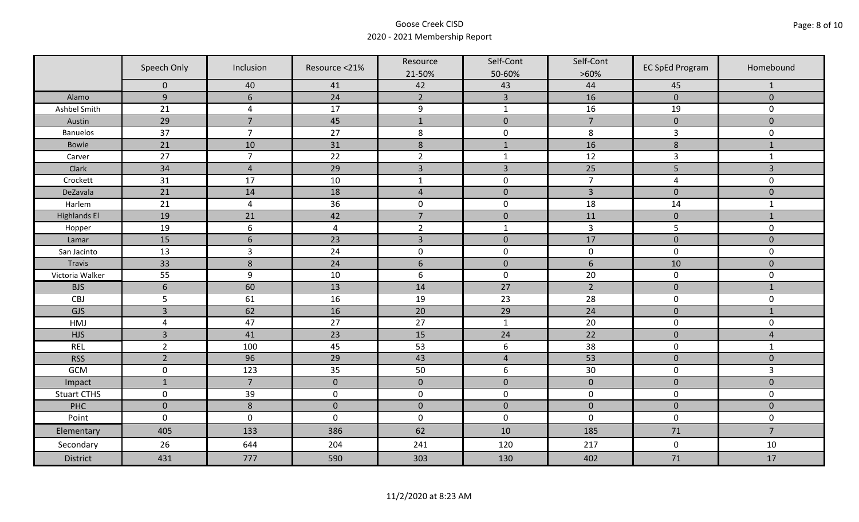|                     | Speech Only                   | Inclusion                        | Resource <21%  | Resource             | Self-Cont            | Self-Cont            | <b>EC SpEd Program</b> | Homebound           |
|---------------------|-------------------------------|----------------------------------|----------------|----------------------|----------------------|----------------------|------------------------|---------------------|
|                     |                               |                                  |                | 21-50%               | 50-60%               | $>60\%$              |                        |                     |
|                     | $\mathbf 0$<br>$\overline{9}$ | 40<br>6                          | 41<br>24       | 42<br>$\overline{2}$ | 43<br>$\overline{3}$ | 44<br>16             | 45<br>$\overline{0}$   | 1<br>$\overline{0}$ |
| Alamo               |                               |                                  |                |                      |                      |                      |                        |                     |
| Ashbel Smith        | 21                            | $\overline{4}$<br>$\overline{7}$ | 17             | $\boldsymbol{9}$     | $\mathbf 1$          | 16<br>$\overline{7}$ | 19                     | 0                   |
| Austin              | 29<br>37                      | $\overline{7}$                   | 45<br>27       | $\mathbf 1$          | $\pmb{0}$            |                      | $\pmb{0}$              | $\mathbf 0$         |
| <b>Banuelos</b>     |                               |                                  |                | $\,8\,$              | $\pmb{0}$            | 8                    | $\mathsf{3}$           | $\mathbf 0$         |
| Bowie               | 21                            | 10                               | 31             | $\,$ 8 $\,$          | $\mathbf{1}$         | 16                   | $\bf 8$                | $\mathbf{1}$        |
| Carver              | 27                            | $\overline{7}$                   | 22             | $\overline{2}$       | $\mathbf 1$          | 12                   | $\overline{3}$         | $\mathbf{1}$        |
| Clark               | 34                            | $\overline{4}$                   | 29             | $\overline{3}$       | $\overline{3}$       | 25                   | 5                      | 3                   |
| Crockett            | 31                            | 17                               | 10             | $\mathbf{1}$         | $\pmb{0}$            | $\overline{7}$       | 4                      | $\mathsf{O}\xspace$ |
| DeZavala            | 21                            | 14                               | 18             | $\sqrt{4}$           | $\pmb{0}$            | $\overline{3}$       | $\pmb{0}$              | $\pmb{0}$           |
| Harlem              | 21                            | $\overline{4}$                   | 36             | $\pmb{0}$            | $\pmb{0}$            | 18                   | $14\,$                 | $\mathbf{1}$        |
| <b>Highlands El</b> | 19                            | 21                               | 42             | $\overline{7}$       | $\pmb{0}$            | 11                   | $\pmb{0}$              | $\mathbf{1}$        |
| Hopper              | 19                            | 6                                | $\overline{4}$ | $\overline{2}$       | $\mathbf{1}$         | 3                    | 5                      | $\mathbf 0$         |
| Lamar               | 15                            | $6\phantom{1}6$                  | 23             | $\overline{3}$       | $\pmb{0}$            | 17                   | $\pmb{0}$              | $\mathbf 0$         |
| San Jacinto         | 13                            | $\overline{3}$                   | 24             | $\boldsymbol{0}$     | $\pmb{0}$            | $\pmb{0}$            | $\pmb{0}$              | 0                   |
| <b>Travis</b>       | 33                            | 8                                | 24             | $6\,$                | $\pmb{0}$            | $\sqrt{6}$           | 10                     | $\mathbf 0$         |
| Victoria Walker     | 55                            | $9\,$                            | 10             | $\boldsymbol{6}$     | $\mathsf 0$          | 20                   | $\mathsf 0$            | 0                   |
| <b>BJS</b>          | $\sqrt{6}$                    | 60                               | 13             | 14                   | 27                   | $\overline{2}$       | $\mathbf 0$            | $\mathbf{1}$        |
| CBJ                 | 5                             | 61                               | 16             | 19                   | 23                   | 28                   | $\pmb{0}$              | $\mathbf 0$         |
| GJS                 | $\overline{3}$                | 62                               | 16             | 20                   | 29                   | 24                   | $\pmb{0}$              | $\mathbf{1}$        |
| HMJ                 | $\overline{4}$                | 47                               | 27             | 27                   | $\mathbf{1}$         | 20                   | $\mathbf 0$            | 0                   |
| <b>HJS</b>          | $\overline{3}$                | 41                               | 23             | 15                   | 24                   | 22                   | $\pmb{0}$              | 4                   |
| <b>REL</b>          | $\overline{2}$                | 100                              | 45             | 53                   | $\boldsymbol{6}$     | 38                   | $\pmb{0}$              | $\mathbf{1}$        |
| <b>RSS</b>          | $\overline{2}$                | 96                               | 29             | 43                   | $\overline{4}$       | 53                   | $\pmb{0}$              | $\mathbf 0$         |
| <b>GCM</b>          | $\mathsf 0$                   | 123                              | 35             | 50                   | 6                    | 30                   | $\pmb{0}$              | $\overline{3}$      |
| Impact              | $\mathbf{1}$                  | $\overline{7}$                   | $\mathbf 0$    | $\mathbf 0$          | $\pmb{0}$            | $\pmb{0}$            | $\pmb{0}$              | $\overline{0}$      |
| <b>Stuart CTHS</b>  | $\mathsf 0$                   | 39                               | $\pmb{0}$      | $\pmb{0}$            | $\pmb{0}$            | $\pmb{0}$            | $\pmb{0}$              | 0                   |
| PHC                 | $\mathbf 0$                   | 8                                | $\mathbf 0$    | $\pmb{0}$            | $\mathbf 0$          | $\mathbf 0$          | $\mathbf 0$            | $\mathbf 0$         |
| Point               | $\mathsf{O}\xspace$           | $\mathbf 0$                      | $\mathbf 0$    | $\pmb{0}$            | $\pmb{0}$            | $\mathbf 0$          | $\pmb{0}$              | $\mathsf{O}\xspace$ |
| Elementary          | 405                           | 133                              | 386            | 62                   | 10                   | 185                  | 71                     | $\overline{7}$      |
| Secondary           | 26                            | 644                              | 204            | 241                  | 120                  | 217                  | $\pmb{0}$              | 10                  |
| <b>District</b>     | 431                           | 777                              | 590            | 303                  | 130                  | 402                  | 71                     | 17                  |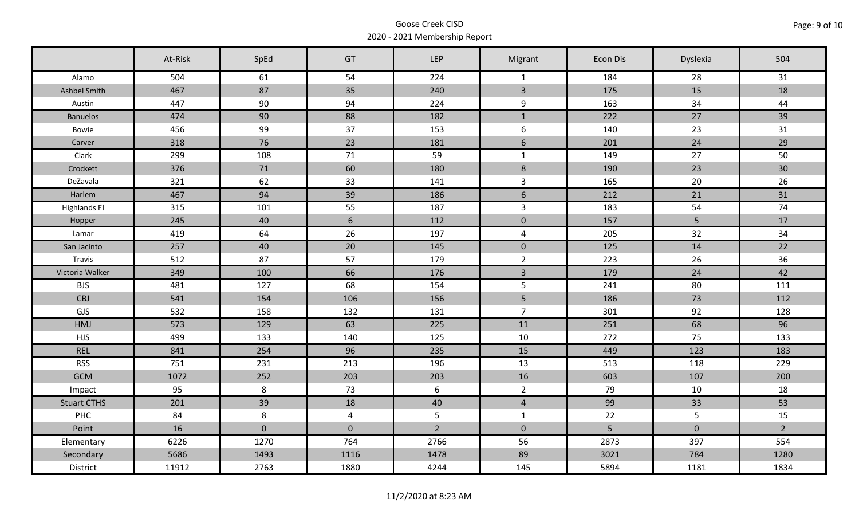|                     | At-Risk | SpEd        | GT             | LEP            | Migrant                 | <b>Econ Dis</b> | Dyslexia       | 504            |
|---------------------|---------|-------------|----------------|----------------|-------------------------|-----------------|----------------|----------------|
| Alamo               | 504     | 61          | 54             | 224            | $\mathbf{1}$            | 184             | 28             | 31             |
| Ashbel Smith        | 467     | 87          | 35             | 240            | $\overline{3}$          | 175             | 15             | 18             |
| Austin              | 447     | 90          | 94             | 224            | 9                       | 163             | 34             | 44             |
| <b>Banuelos</b>     | 474     | 90          | 88             | 182            | $\mathbf{1}$            | 222             | 27             | 39             |
| Bowie               | 456     | 99          | 37             | 153            | 6                       | 140             | 23             | 31             |
| Carver              | 318     | 76          | 23             | 181            | $6\phantom{a}$          | 201             | 24             | 29             |
| Clark               | 299     | 108         | 71             | 59             | $\mathbf{1}$            | 149             | 27             | 50             |
| Crockett            | 376     | 71          | 60             | 180            | $\bf 8$                 | 190             | 23             | 30             |
| DeZavala            | 321     | 62          | 33             | 141            | $\mathbf{3}$            | 165             | 20             | 26             |
| Harlem              | 467     | 94          | 39             | 186            | $6\phantom{1}$          | 212             | 21             | 31             |
| <b>Highlands El</b> | 315     | 101         | 55             | 187            | $\overline{3}$          | 183             | 54             | 74             |
| Hopper              | 245     | 40          | $6\phantom{.}$ | 112            | $\mathbf 0$             | 157             | $5\phantom{.}$ | 17             |
| Lamar               | 419     | 64          | 26             | 197            | $\overline{\mathbf{4}}$ | 205             | 32             | 34             |
| San Jacinto         | 257     | 40          | 20             | 145            | $\overline{0}$          | 125             | 14             | 22             |
| Travis              | 512     | 87          | 57             | 179            | $\overline{2}$          | 223             | 26             | 36             |
| Victoria Walker     | 349     | 100         | 66             | 176            | $\overline{3}$          | 179             | 24             | 42             |
| <b>BJS</b>          | 481     | 127         | 68             | 154            | 5                       | 241             | 80             | 111            |
| CBJ                 | 541     | 154         | 106            | 156            | 5                       | 186             | 73             | 112            |
| GJS                 | 532     | 158         | 132            | 131            | $\overline{7}$          | 301             | 92             | 128            |
| HMJ                 | 573     | 129         | 63             | 225            | 11                      | 251             | 68             | 96             |
| <b>HJS</b>          | 499     | 133         | 140            | 125            | 10                      | 272             | 75             | 133            |
| <b>REL</b>          | 841     | 254         | 96             | 235            | 15                      | 449             | 123            | 183            |
| <b>RSS</b>          | 751     | 231         | 213            | 196            | 13                      | 513             | 118            | 229            |
| <b>GCM</b>          | 1072    | 252         | 203            | 203            | 16                      | 603             | 107            | 200            |
| Impact              | 95      | 8           | 73             | 6              | $\overline{2}$          | 79              | 10             | 18             |
| <b>Stuart CTHS</b>  | 201     | 39          | 18             | 40             | $\overline{4}$          | 99              | 33             | 53             |
| PHC                 | 84      | 8           | $\overline{4}$ | $5\phantom{.}$ | $\mathbf{1}$            | 22              | $5\phantom{.}$ | 15             |
| Point               | 16      | $\mathbf 0$ | $\overline{0}$ | $\overline{2}$ | $\mathbf{0}$            | 5               | $\mathbf 0$    | $\overline{2}$ |
| Elementary          | 6226    | 1270        | 764            | 2766           | 56                      | 2873            | 397            | 554            |
| Secondary           | 5686    | 1493        | 1116           | 1478           | 89                      | 3021            | 784            | 1280           |
| District            | 11912   | 2763        | 1880           | 4244           | 145                     | 5894            | 1181           | 1834           |